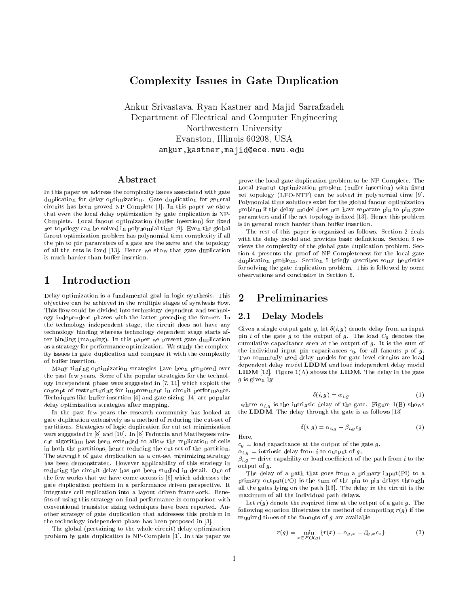# Complexity Issues in Gate Duplication

Ankur Srivastava, Ryan Kastner and Majid Sarrafzadeh Department of Electrical and Computer Engineering Northwestern University Evanston, Illinois 60208, USA ankur,kastner,majid@ece.nwu.edu

#### Abstract

In this paper we address the complexity issues associated with gate duplication for delay optimization. Gate duplication for general circuits has been proved NP-Complete [1]. In this paper we show that even the local delay optimization by gate duplication is NP-Complete. Local fanout optimization (buffer insertion) for fixed net topology can be solved in polynomial time [9]. Even the global fanout optimization problem has polynomial time complexity if all the pin to pin parameters of a gate are the same and the topology of all the nets is fixed [13]. Hence we show that gate duplication is much harder than buffer insertion.

## <sup>1</sup> Introduction

Delay optimization is a fundamental goal in logic synthesis. This  $2$ objective can be achieved in the multiple stages of synthesis flow. This flow could be divided into technology dependent and technology independent phases with the latter preceding the former. In  $2.1$ This 
ow could be divided into technology dependent and technolthe technology independent stage, the circuit does not have any technology binding whereas technology dependent stage starts after binding (mapping). In this paper we present gate duplication as a strategy for performance optimization. We study the complexas a strategy for performance optimization. We study the complexity issues in gate duplication and compare it with the complexity of buffer insertion.

Many timing optimization strategies have been proposed over the past few years. Some of the popular strategies for the technology independent phase were suggested in [7, 11] which exploit the concept of restructuring for improvement in circuit performance. Techniques like buffer insertion  $[4]$  and gate sizing  $[14]$  are popular delay optimization strategies after mapping.

In the past few years the research community has looked at gate duplication extensively as a method of reducing the cut-set of partitions. Strategies of logic duplication for cut-set minimization were suggested in [8] and [10]. In [8] Feduccia and Mattheyses mincut algorithm has been extended to allow the replication of cells  $c_q =$  load capacitance at the output of the gate g, in both the partitions, hence reducing the cut-set of the partition. The strength of gate duplication as a cut-set minimizing strategy has been demonstrated. However applicability of this strategy in reducing the circuit delay has not been studied in detail. One of the few works that we have come across is [6] which addresses the gate duplication problem in a performance driven perspective. It integrates cell replication into a layout driven framework. Bene fits of using this strategy on final performance in comparison with conventional transistor sizing techniques have been reported. Another strategy of gate duplication that addresses this problem in the technology independent phase has been proposed in [3].

The global (pertaining to the whole circuit) delay optimization problem by gate duplication is NP-Complete [1]. In this paper we prove the local gate duplication problem to be NP-Complete. The Local Fanout Optimization problem (buffer insertion) with fixed net topology (LFO-NTF) can be solved in polynomial time [9]. Polynomial time solutions exist for the global fanout optimization problem if the delay model does not have separate pin to pin gate parameters and if the net topology is fixed [13]. Hence this problem is in general much harder than buffer insertion.

The rest of this paper is organized as follows. Section 2 deals with the delay model and provides basic definitions. Section 3 reviews the complexity of the global gate duplication problem. Section 4 presents the proof of NP-Completeness for the local gate duplication problem. Section 5 briefly describes some heuristics for solving the gate duplication problem. This is followed by some observations and conclusion in Section 6.

# **Preliminaries**

### Delay Models

Given a single output gate g, let  $\delta(i, g)$  denote delay from an input pin i of the gate g to the output of g. The load  $C_g$  denotes the cumulative capacitance seen at the output of  $g$ . It is the sum of the individual input pin capacitances  $\gamma_p$  for all fanouts p of g. Two commonly used delay models for gate level circuits are load dependent delay model LDDM and load independent delay model **LIDM** [12]. Figure  $1(A)$  shows the **LIDM**. The delay in the gate g is given by

$$
\delta(i, g) = \alpha_{i, g} \tag{1}
$$

where  $\alpha_{i,g}$  is the intrinsic delay of the gate. Figure 1(B) shows the LDDM. The delay through the gate is as follows [13]

$$
\delta(i,g) = \alpha_{i,g} + \beta_{i,g} c_g \tag{2}
$$

Here. Here,

 $\alpha_{i,g}$  = intrinsic delay from i to output of g,  $\beta_{i,g}$  = drive capability or load coefficient of the path from i to the output of g.

The delay of a path that goes from a primary input(PI) to a primary output(PO) is the sum of the pin-to-pin delays through all the gates lying on the path [13]. The delay in the circuit is the maximum of all the individual path delays.

Let  $r(g)$  denote the required time at the output of a gate g. The following equation illustrates the method of computing  $r(g)$  if the required times of the fanouts of  $g$  are available

$$
r(g) = \min_{x \in F O(g)} \{r(x) - \alpha_{g,x} - \beta_{g,x} c_x\}
$$
 (3)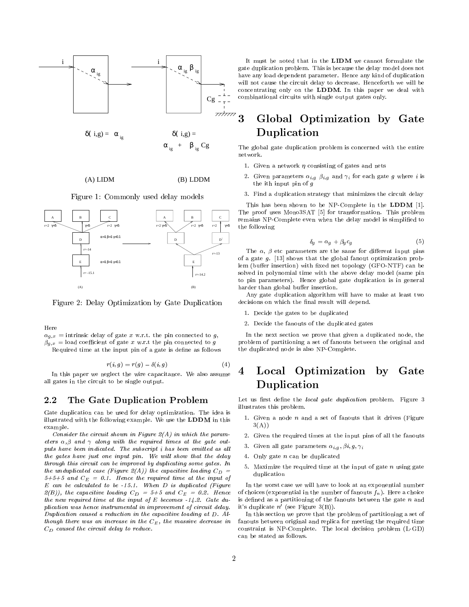

 $(A)$  LIDM

Figure 1: Commonly used delay models

LIDM LDDM



Figure 2: Delay Optimization by Gate Duplication

Here

 $\alpha_{g,x}$  = intrinsic delay of gate x w.r.t. the pin connected to g,  $\widetilde{\beta g}_{y,x} =$  load coefficient of gate x w.r.t the pin connected to g Required time at the input pin of a gate is define as follows

$$
r(i, a) = r(a) - \delta(i, a) \tag{4}
$$

 $r(i, g) = r(g) - o(i, g)$  (4)<br>rlect the wire canacitance. We also assume  $\overline{4}$ In this paper we neglect the wire capacitance. We also assume all gates in the circuit to be single output.

#### 2.2 The Gate Duplication Problem

Gate duplication can be used for delay optimization. The idea is illustrated with the following example. We use the LDDM in this example.

Consider the circuit shown in Figure  $2(A)$  in which the parameters  $\alpha, \beta$  and  $\gamma$  along with the required times at the gate outputs have been indicated. The subscript  $i$  has been omitted as all the gates have just one input pin. We will show that the delay through this circuit can be improved by duplicating some gates. In the unduplicated case (Figure 2(A)) the capacitive loading  $C_D =$  duplication  $5+5+5$  and  $C_E = 0.1$ . Hence the required time at the input of  $E$  can be calculated to be  $-15.1$ . When  $D$  is duplicated (Figure  $2(B)$ ), the capacitive loading  $C_D = 5+5$  and  $C_E = 0.2$ . Hence the new required time at the input of  $E$  becomes  $-14.2$ . Gate duplication was hence instrumental in improvement of circuit delay. Duplication caused a reduction in the capacitive loading at  $D$ . Although there was an increase in the  $C_E$ , the massive decrease in  $C_D$  caused the circuit delay to reduce.

It must be noted that in the LIDM we cannot formulate the gate duplication problem. This is because the delay model does not have any load dependent parameter. Hence any kind of duplication will not cause the circuit delay to decrease. Henceforth we will be concentrating only on the LDDM. In this paper we deal with combinational circuits with single output gates only.

#### 3 <sup>3</sup> Global Optimization by Gate Duplication

The global gate duplication problem is concerned with the entire network.

- 1. Given a network  $\eta$  consisting of gates and nets
- 2. Given parameters  $\alpha_{i,g}$   $\beta_{i,g}$  and  $\gamma_i$  for each gate g where i is the ith input pin of g
- 3. Find a duplication strategy that minimizes the circuit delay

This has been shown to be NP-Complete in the LDDM [1]. This has been shown to be NP-Complete in the NP-Complete in the LDDM  $\parallel$  -  $\parallel$ The proof uses Mono3SAT [5] for transformation. This problem remains NP-Complete even when the delay model is simplied to the following

$$
\delta_g = \alpha_g + \beta_g c_g \tag{5}
$$

The  $\alpha$ ,  $\beta$  etc parameters are the same for different input pins of a gate  $q$ . [13] shows that the global fanout optimization problem (buffer insertion) with fixed net topology (GFO-NTF) can be solved in polynomial time with the above delay model (same pin to pin parameters). Hence global gate duplication is in general harder than global buffer insertion.

Any gate duplication algorithm will have to make at least two decisions on which the final result will depend.

- 1. Decide the gates to be duplicated
- 2. Decide the fanouts of the duplicated gates

In the next section we prove that given a duplicated node, the problem of partitioning a set of fanouts between the original and the duplicated node is also NP-Complete.

# Local Optimization by Gate Duplication

Let us first define the local gate duplication problem. Figure 3 illustrates this problem.

- 1. Given a node  $n$  and a set of fanouts that it drives (Figure  $3(A)$
- 2. Given the required times at the input pins of all the fanouts
- 3. Given all gate parameters  $\alpha_{i,g}$ ,  $\beta_i$ ,  $g, \gamma_i$
- 4. Only gate n can be duplicated
- 5. Maximize the required time at the input of gate  $n$  using gate duction in the contraction of the contraction of the contraction of the contraction of the contraction of the contraction of the contraction of the contraction of the contraction of the contraction of the contraction of th

In the worst case we will have to look at an exponential number of choices (exponential in the number of fanouts  $f_n$ ). Here a choice is defined as a partitioning of the fanouts between the gate  $n$  and it's duplicate  $n'$  (see Figure 3(B)).

In this section we prove that the problem of partitioning a set of fanouts between original and replica for meeting the required time constraint is NP-Complete. The local decision problem (L-GD) can be stated as follows.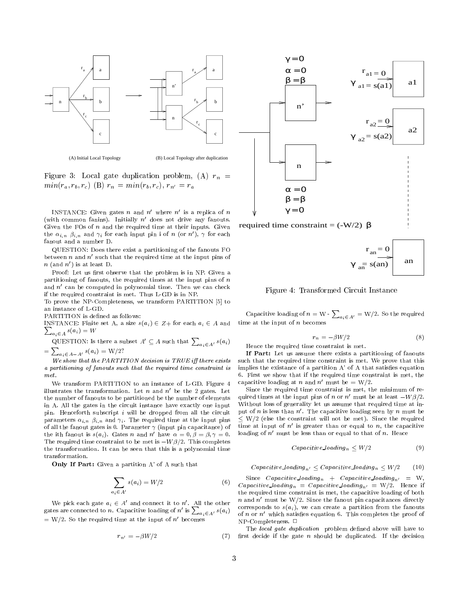

(A) Initial Local Topology (B) Local Topology after duplication

Figure 3: Local gate duplication problem, (A)  $r_n$  =  $min(r_a, r_b, r_c)$  (B)  $r_n = min(r_b, r_c), r_{n'} = r_a$ 

INSTANCE: Given gates n and  $n'$  where  $n'$  is a replica of n (with common fanins). Initially  $n'$  does not drive any fanouts. Given the FOs of  $n$  and the required time at their inputs. Given the  $\alpha_{i,n}$   $\beta_{i,n}$  and  $\gamma_i$  for each input pin i of n (or n'),  $\gamma$  for each fanout and a number D.

QUESTION: Does there exist a partitioning of the fanouts FO between  $n$  and  $n'$  such that the required time at the input pins of  $n$  (and  $n'$ ) is at least D.

Proof: Let us first observe that the problem is in NP. Given a partitioning of fanouts, the required times at the input pins of  $n$ and  $n'$  can be computed in polynomial time. Then we can check if the required constraint is met. Thus L-GD is in NP.

To prove the NP-Completeness, we transform PARTITION [5] to an instance of L-GD.

PARTITION is defined as follows:

**Property** and the contract of the contract of the contract of the contract of the contract of the contract of the contract of the contract of the contract of the contract of the contract of the contract of the contract of INSTANCE: Finite set A, a size  $s(a_i) \in Z+$  for each  $a_i \in A$  and  $\sum_{a_i \in A} s(a_i) = W$ 

QUESTION: Is there a subset 
$$
A' \subseteq A
$$
 such that  $\sum_{a_i \in A'} s(a_i)$   
  $\sum_{a_i \in A} s(a_i) = W/(2)$ 

 $=\sum_{a_i\in A-A'} s(a_i) = W/2?$ 

We show that the PARTITION decision is TRUE iff there exists a partitioning of fanouts such that the required time constraint is met.

We transform PARTITION to an instance of L-GD. Figure 4 illustrates the transformation. Let  $n$  and  $n'$  be the 2 gates. Let the number of fanouts to be partitioned be the number of elements in A. All the gates in the circuit instance have exactly one input pin. Henceforth subscript  $i$  will be dropped from all the circuit parameters  $\alpha_{i,n}$   $\beta_{i,n}$  and  $\gamma_i$ . The required time at the input pins of all the fanout gates is 0. Parameter  $\gamma$  (input pin capacitance) of the ith fanout is  $s(a_i)$ . Gates n and n' have  $\alpha = 0, \beta = \beta, \gamma = 0$ . The required time constraint to be met is  $-W\beta/2$ . This completes the transformation. It can be seen that this is a polynomial time transformation.

Only If Part: Given a partition A' of A such that

$$
\sum_{a_i \in A'} s(a_i) = W/2
$$
 (6) 
$$
\sum_{i \text{the}}^{S}
$$

We pick each gate  $a_i \in A'$  and connect it to n'. All the other gates are connected to n. Capacitive loading of n' is  $\sum_{a_i \in A'} s(a_i)$  of n or  $= W/2$ . So the required time at the input of n' becomes

$$
r_{n'} = -\beta W/2 \tag{7}
$$
 first



required time constraint =  $(-W/2)$  β



Figure 4: Transformed Circuit Instance

Capacitive loading of  $n = \mathrm{W}$  -  $\sum_{a_i \in A'} = \mathrm{W}/2.$  So the required time at the input of  $n$  becomes

$$
r_n = -\beta W/2 \tag{8}
$$

Hence the required time constraint is met.

If Part: Let us assume there exists a partitioning of fanouts such that the required time constraint is met. We prove that this such that the required time constraints is met. We prove that this met implies the existance of a partition  $A'$  of  $A$  that satisfies equation 6. First we show that if the required time constraint is met, the capacitive loading at n and  $n'$  must be = W/2.

Since the required time constraint is met, the minimum of required times at the input pins of n or n' must be at least  $-W\beta/2$ . Without loss of generality let us assume that required time at input of n is less than  $n'$ . The capacitive loading seen by n must be  $\langle W/2 \rangle$  (else the constraint will not be met). Since the required time at input of  $n'$  is greater than or equal to n, the capacitive loading of  $n'$  must be less than or equal to that of n. Hence

$$
Capacitive\,loading_n < W/2\tag{9}
$$

Capacitive loading<sub>n'</sub>  $\leq$  Capacitive loading<sub>n</sub>  $\leq$  W/2 (10)

Since Capacitive loading<sub>n</sub> + Capacitive loading<sub>n'</sub> = W, Capacitive loading<sub>n</sub> = Capacitive loading<sub>n'</sub> = W/2. Hence if the required time constraint is met, the capacitive loading of both n and  $n'$  must be W/2. Since the fanout pin capacitances directly corresponds to  $s(a_i)$ , we can create a partition from the fanouts of n or  $n'$  which satisfies equation 6. This completes the proof of  $NP$ -Completeness.  $\square$ 

The local gate duplication problem defined above will have to first decide if the gate  $n$  should be duplicated. If the decision